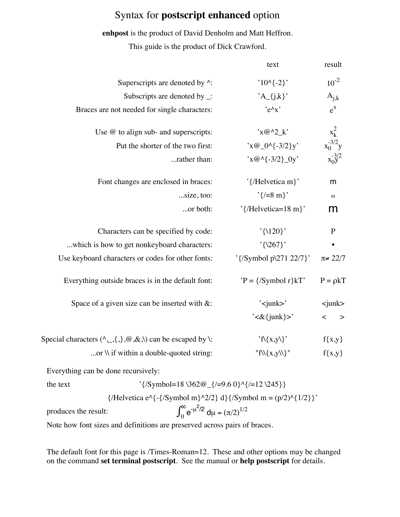## Syntax for **postscript enhanced** option

**enhpost** is the product of David Denholm and Matt Heffron. This guide is the product of Dick Crawford.

|                                                                                     | text                                                     | result                                            |
|-------------------------------------------------------------------------------------|----------------------------------------------------------|---------------------------------------------------|
| Superscripts are denoted by ^:                                                      | $'10^{(-2)}$                                             | $10^{-2}$                                         |
| Subscripts are denoted by $\lnot$ :                                                 | $'A_{j,k}$                                               | $A_{j,k}$                                         |
| Braces are not needed for single characters:                                        | $'e^{\Lambda}x'$                                         | $e^{X}$                                           |
| Use $@$ to align sub- and superscripts:                                             | $x@^{\wedge}2_k'$                                        | $\begin{matrix} x_k^2\\ x_0^{-3/2}y \end{matrix}$ |
| Put the shorter of the two first:                                                   | $x@_{0}\A_{3}/2\}y'$                                     |                                                   |
| rather than:                                                                        | $x@^{\wedge}(-3/2)$ 0y'                                  | $x_0^{-3/2}$                                      |
| Font changes are enclosed in braces:                                                | '{/Helvetica m}'                                         | m                                                 |
| size, too:                                                                          | $'\{\neq 8 \text{ m}\}'$                                 | ${\rm m}$                                         |
| or both:                                                                            | '{/Helvetica=18 m}'                                      | m                                                 |
| Characters can be specified by code:                                                | $'\{120\}$                                               | $\mathbf P$                                       |
| which is how to get nonkeyboard characters:                                         | $'\{267\}$                                               |                                                   |
| Use keyboard characters or codes for other fonts:                                   | '{/Symbol p\271 22/7}'                                   | $\pi \neq 22/7$                                   |
| Everything outside braces is in the default font:                                   | $'P = \frac{{\sqrt{S}}}{\text{ymbol}} r$ <sub>kT</sub> ' | $P = \rho kT$                                     |
| Space of a given size can be inserted with $\&$ :                                   | $\gamma$ -junk>'                                         | $\sin k$                                          |
|                                                                                     | $\text{'&}\{\text{junk}\}$                               | $\,<\,$<br>$\geq$                                 |
| Special characters $(\land, \_, \{,\}, \omega, \& \, \rangle)$ can be escaped by \: | 'f\{x,y\}'                                               | $f\{x,y\}$                                        |
| or $\mathcal N$ if within a double-quoted string:                                   | " $f\{\{x,y\}\}$ "                                       | $f\{x,y\}$                                        |
|                                                                                     |                                                          |                                                   |

Everything can be done recursively:

the text  
\n
$$
\{(Symbol=18\ \362@_{_{_{_{1}}\{1=9.6\ 0\}\ \{1=12\ \245\}\}}\}
$$
\n
$$
\{(Helvetica e^{({_{_{1}}\{symbol m}\ \lambda^2/2\} d}{\{1\}^2 d}\}\})
$$
\n
$$
\int_{0}^{\infty} e^{-\mu^2/2} d\mu = (\pi/2)^{1/2}
$$

Note how font sizes and definitions are preserved across pairs of braces.

The default font for this page is /Times-Roman=12. These and other options may be changed on the command **set terminal postscript**. See the manual or **help postscript** for details.